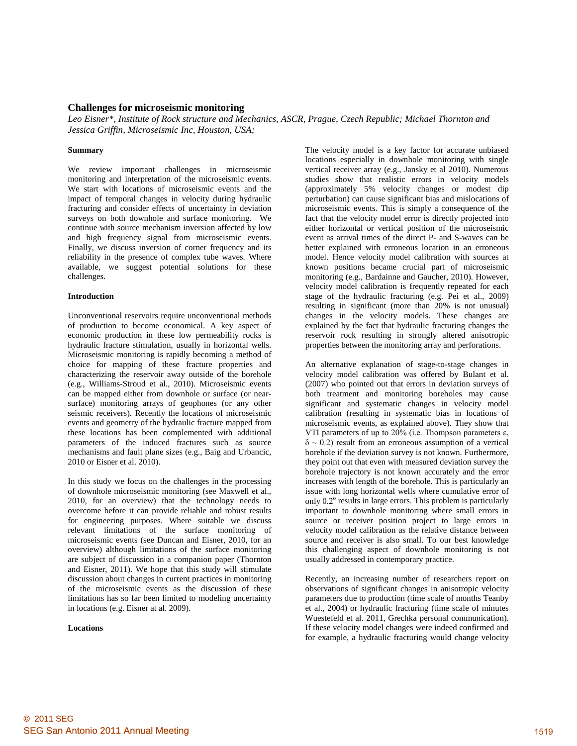# **Challenges for microseismic monitoring**

*Leo Eisner\*, Institute of Rock structure and Mechanics, ASCR, Prague, Czech Republic; Michael Thornton and Jessica Griffin, Microseismic Inc, Houston, USA;* 

## **Summary**

We review important challenges in microseismic monitoring and interpretation of the microseismic events. We start with locations of microseismic events and the impact of temporal changes in velocity during hydraulic fracturing and consider effects of uncertainty in deviation surveys on both downhole and surface monitoring. We continue with source mechanism inversion affected by low and high frequency signal from microseismic events. Finally, we discuss inversion of corner frequency and its reliability in the presence of complex tube waves. Where available, we suggest potential solutions for these challenges.

## **Introduction**

Unconventional reservoirs require unconventional methods of production to become economical. A key aspect of economic production in these low permeability rocks is hydraulic fracture stimulation, usually in horizontal wells. Microseismic monitoring is rapidly becoming a method of choice for mapping of these fracture properties and characterizing the reservoir away outside of the borehole (e.g., Williams-Stroud et al., 2010). Microseismic events can be mapped either from downhole or surface (or nearsurface) monitoring arrays of geophones (or any other seismic receivers). Recently the locations of microseismic events and geometry of the hydraulic fracture mapped from these locations has been complemented with additional parameters of the induced fractures such as source mechanisms and fault plane sizes (e.g., Baig and Urbancic, 2010 or Eisner et al. 2010).

In this study we focus on the challenges in the processing of downhole microseismic monitoring (see Maxwell et al., 2010, for an overview) that the technology needs to overcome before it can provide reliable and robust results for engineering purposes. Where suitable we discuss relevant limitations of the surface monitoring of microseismic events (see Duncan and Eisner, 2010, for an overview) although limitations of the surface monitoring are subject of discussion in a companion paper (Thornton and Eisner, 2011). We hope that this study will stimulate discussion about changes in current practices in monitoring of the microseismic events as the discussion of these limitations has so far been limited to modeling uncertainty in locations (e.g. Eisner at al. 2009).

#### **Locations**

The velocity model is a key factor for accurate unbiased locations especially in downhole monitoring with single vertical receiver array (e.g., Jansky et al 2010). Numerous studies show that realistic errors in velocity models (approximately 5% velocity changes or modest dip perturbation) can cause significant bias and mislocations of microseismic events. This is simply a consequence of the fact that the velocity model error is directly projected into either horizontal or vertical position of the microseismic event as arrival times of the direct P- and S-waves can be better explained with erroneous location in an erroneous model. Hence velocity model calibration with sources at known positions became crucial part of microseismic monitoring (e.g., Bardainne and Gaucher, 2010). However, velocity model calibration is frequently repeated for each stage of the hydraulic fracturing (e.g. Pei et al., 2009) resulting in significant (more than 20% is not unusual) changes in the velocity models. These changes are explained by the fact that hydraulic fracturing changes the reservoir rock resulting in strongly altered anisotropic properties between the monitoring array and perforations.

An alternative explanation of stage-to-stage changes in velocity model calibration was offered by Bulant et al. (2007) who pointed out that errors in deviation surveys of both treatment and monitoring boreholes may cause significant and systematic changes in velocity model calibration (resulting in systematic bias in locations of microseismic events, as explained above). They show that VTI parameters of up to 20% (i.e. Thompson parameters ε,  $\delta \sim 0.2$ ) result from an erroneous assumption of a vertical borehole if the deviation survey is not known. Furthermore, they point out that even with measured deviation survey the borehole trajectory is not known accurately and the error increases with length of the borehole. This is particularly an issue with long horizontal wells where cumulative error of only  $0.2^{\circ}$  results in large errors. This problem is particularly important to downhole monitoring where small errors in source or receiver position project to large errors in velocity model calibration as the relative distance between source and receiver is also small. To our best knowledge this challenging aspect of downhole monitoring is not usually addressed in contemporary practice.

Recently, an increasing number of researchers report on observations of significant changes in anisotropic velocity parameters due to production (time scale of months Teanby et al., 2004) or hydraulic fracturing (time scale of minutes Wuestefeld et al. 2011, Grechka personal communication). If these velocity model changes were indeed confirmed and for example, a hydraulic fracturing would change velocity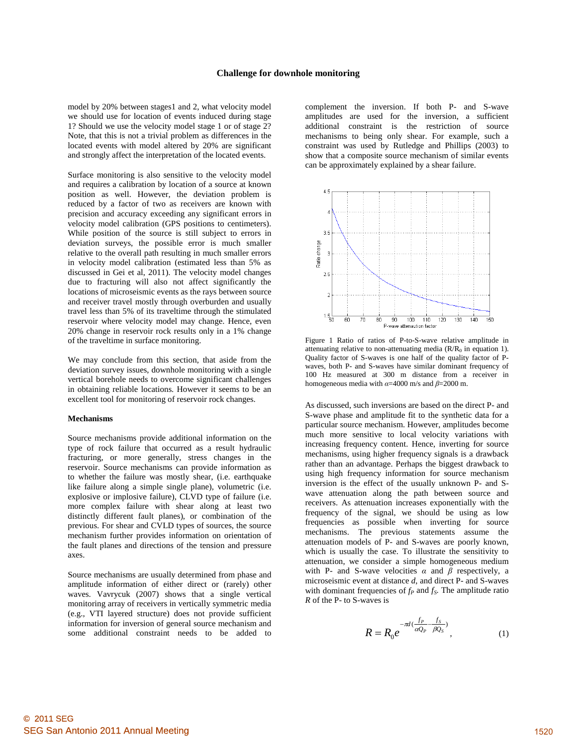model by 20% between stages1 and 2, what velocity model we should use for location of events induced during stage 1? Should we use the velocity model stage 1 or of stage 2? Note, that this is not a trivial problem as differences in the located events with model altered by 20% are significant and strongly affect the interpretation of the located events.

Surface monitoring is also sensitive to the velocity model and requires a calibration by location of a source at known position as well. However, the deviation problem is reduced by a factor of two as receivers are known with precision and accuracy exceeding any significant errors in velocity model calibration (GPS positions to centimeters). While position of the source is still subject to errors in deviation surveys, the possible error is much smaller relative to the overall path resulting in much smaller errors in velocity model calibration (estimated less than 5% as discussed in Gei et al, 2011). The velocity model changes due to fracturing will also not affect significantly the locations of microseismic events as the rays between source and receiver travel mostly through overburden and usually travel less than 5% of its traveltime through the stimulated reservoir where velocity model may change. Hence, even 20% change in reservoir rock results only in a 1% change of the traveltime in surface monitoring.

We may conclude from this section, that aside from the deviation survey issues, downhole monitoring with a single vertical borehole needs to overcome significant challenges in obtaining reliable locations. However it seems to be an excellent tool for monitoring of reservoir rock changes.

#### **Mechanisms**

Source mechanisms provide additional information on the type of rock failure that occurred as a result hydraulic fracturing, or more generally, stress changes in the reservoir. Source mechanisms can provide information as to whether the failure was mostly shear, (i.e. earthquake like failure along a simple single plane), volumetric (i.e. explosive or implosive failure), CLVD type of failure (i.e. more complex failure with shear along at least two distinctly different fault planes), or combination of the previous. For shear and CVLD types of sources, the source mechanism further provides information on orientation of the fault planes and directions of the tension and pressure axes.

Source mechanisms are usually determined from phase and amplitude information of either direct or (rarely) other waves. Vavrycuk (2007) shows that a single vertical monitoring array of receivers in vertically symmetric media (e.g., VTI layered structure) does not provide sufficient information for inversion of general source mechanism and some additional constraint needs to be added to

complement the inversion. If both P- and S-wave amplitudes are used for the inversion, a sufficient additional constraint is the restriction of source mechanisms to being only shear. For example, such a constraint was used by Rutledge and Phillips (2003) to show that a composite source mechanism of similar events can be approximately explained by a shear failure.



Figure 1 Ratio of ratios of P-to-S-wave relative amplitude in attenuating relative to non-attenuating media  $(R/R_0)$  in equation 1). Quality factor of S-waves is one half of the quality factor of Pwaves, both P- and S-waves have similar dominant frequency of 100 Hz measured at 300 m distance from a receiver in homogeneous media with  $\alpha$ =4000 m/s and  $\beta$ =2000 m.

As discussed, such inversions are based on the direct P- and S-wave phase and amplitude fit to the synthetic data for a particular source mechanism. However, amplitudes become much more sensitive to local velocity variations with increasing frequency content. Hence, inverting for source mechanisms, using higher frequency signals is a drawback rather than an advantage. Perhaps the biggest drawback to using high frequency information for source mechanism inversion is the effect of the usually unknown P- and Swave attenuation along the path between source and receivers. As attenuation increases exponentially with the frequency of the signal, we should be using as low frequencies as possible when inverting for source mechanisms. The previous statements assume the attenuation models of P- and S-waves are poorly known, which is usually the case. To illustrate the sensitivity to attenuation, we consider a simple homogeneous medium with P- and S-wave velocities  $\alpha$  and  $\beta$  respectively, a microseismic event at distance *d*, and direct P- and S-waves with dominant frequencies of  $f_P$  and  $f_S$ . The amplitude ratio *R* of the P- to S-waves is

$$
R = R_0 e^{-\pi d(\frac{f_P - f_S}{\alpha Q_P - \beta Q_S})}, \qquad (1)
$$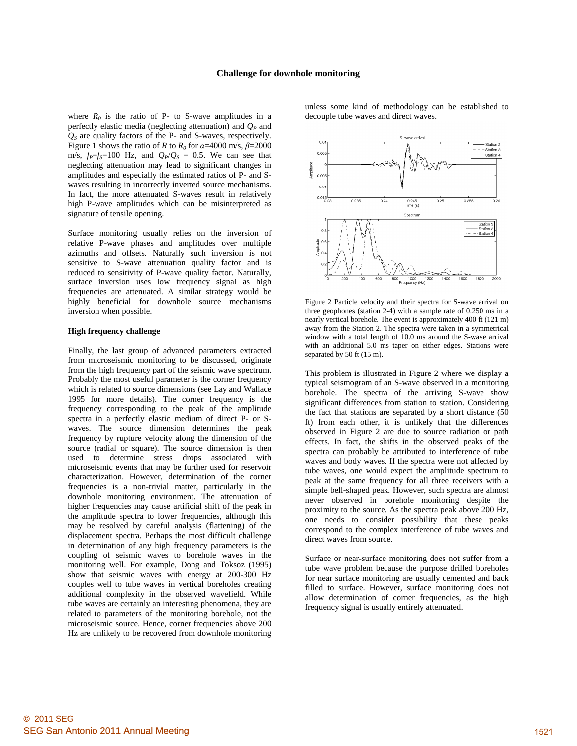where  $R_0$  is the ratio of P- to S-wave amplitudes in a perfectly elastic media (neglecting attenuation) and  $Q<sub>P</sub>$  and *QS* are quality factors of the P- and S-waves, respectively. Figure 1 shows the ratio of *R* to  $R_0$  for  $\alpha = 4000$  m/s,  $\beta = 2000$ m/s,  $f_P = f_S = 100$  Hz, and  $Q_P/Q_S = 0.5$ . We can see that neglecting attenuation may lead to significant changes in amplitudes and especially the estimated ratios of P- and Swaves resulting in incorrectly inverted source mechanisms. In fact, the more attenuated S-waves result in relatively high P-wave amplitudes which can be misinterpreted as signature of tensile opening.

Surface monitoring usually relies on the inversion of relative P-wave phases and amplitudes over multiple azimuths and offsets. Naturally such inversion is not sensitive to S-wave attenuation quality factor and is reduced to sensitivity of P-wave quality factor. Naturally, surface inversion uses low frequency signal as high frequencies are attenuated. A similar strategy would be highly beneficial for downhole source mechanisms inversion when possible.

#### **High frequency challenge**

Finally, the last group of advanced parameters extracted from microseismic monitoring to be discussed, originate from the high frequency part of the seismic wave spectrum. Probably the most useful parameter is the corner frequency which is related to source dimensions (see Lay and Wallace 1995 for more details). The corner frequency is the frequency corresponding to the peak of the amplitude spectra in a perfectly elastic medium of direct P- or Swaves. The source dimension determines the peak frequency by rupture velocity along the dimension of the source (radial or square). The source dimension is then used to determine stress drops associated with microseismic events that may be further used for reservoir characterization. However, determination of the corner frequencies is a non-trivial matter, particularly in the downhole monitoring environment. The attenuation of higher frequencies may cause artificial shift of the peak in the amplitude spectra to lower frequencies, although this may be resolved by careful analysis (flattening) of the displacement spectra. Perhaps the most difficult challenge in determination of any high frequency parameters is the coupling of seismic waves to borehole waves in the monitoring well. For example, Dong and Toksoz (1995) show that seismic waves with energy at 200-300 Hz couples well to tube waves in vertical boreholes creating additional complexity in the observed wavefield. While tube waves are certainly an interesting phenomena, they are related to parameters of the monitoring borehole, not the microseismic source. Hence, corner frequencies above 200 Hz are unlikely to be recovered from downhole monitoring unless some kind of methodology can be established to decouple tube waves and direct waves.



Figure 2 Particle velocity and their spectra for S-wave arrival on three geophones (station 2-4) with a sample rate of 0.250 ms in a nearly vertical borehole. The event is approximately 400 ft (121 m) away from the Station 2. The spectra were taken in a symmetrical window with a total length of 10.0 ms around the S-wave arrival with an additional 5.0 ms taper on either edges. Stations were separated by 50 ft (15 m).

This problem is illustrated in Figure 2 where we display a typical seismogram of an S-wave observed in a monitoring borehole. The spectra of the arriving S-wave show significant differences from station to station. Considering the fact that stations are separated by a short distance (50 ft) from each other, it is unlikely that the differences observed in Figure 2 are due to source radiation or path effects. In fact, the shifts in the observed peaks of the spectra can probably be attributed to interference of tube waves and body waves. If the spectra were not affected by tube waves, one would expect the amplitude spectrum to peak at the same frequency for all three receivers with a simple bell-shaped peak. However, such spectra are almost never observed in borehole monitoring despite the proximity to the source. As the spectra peak above 200 Hz, one needs to consider possibility that these peaks correspond to the complex interference of tube waves and direct waves from source.

Surface or near-surface monitoring does not suffer from a tube wave problem because the purpose drilled boreholes for near surface monitoring are usually cemented and back filled to surface. However, surface monitoring does not allow determination of corner frequencies, as the high frequency signal is usually entirely attenuated.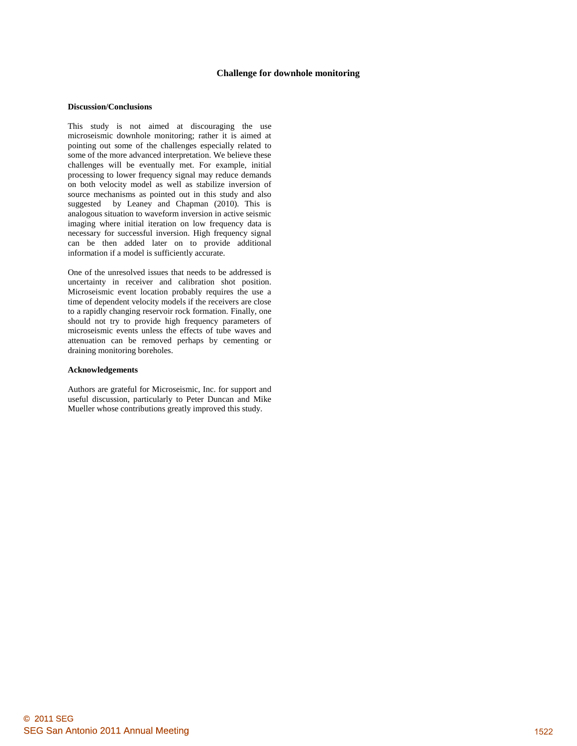### **Challenge for downhole monitoring**

#### **Discussion/Conclusions**

This study is not aimed at discouraging the use microseismic downhole monitoring; rather it is aimed at pointing out some of the challenges especially related to some of the more advanced interpretation. We believe these challenges will be eventually met. For example, initial processing to lower frequency signal may reduce demands on both velocity model as well as stabilize inversion of source mechanisms as pointed out in this study and also suggested by Leaney and Chapman (2010). This is analogous situation to waveform inversion in active seismic imaging where initial iteration on low frequency data is necessary for successful inversion. High frequency signal can be then added later on to provide additional information if a model is sufficiently accurate.

One of the unresolved issues that needs to be addressed is uncertainty in receiver and calibration shot position. Microseismic event location probably requires the use a time of dependent velocity models if the receivers are close to a rapidly changing reservoir rock formation. Finally, one should not try to provide high frequency parameters of microseismic events unless the effects of tube waves and attenuation can be removed perhaps by cementing or draining monitoring boreholes.

#### **Acknowledgements**

Authors are grateful for Microseismic, Inc. for support and useful discussion, particularly to Peter Duncan and Mike Mueller whose contributions greatly improved this study.